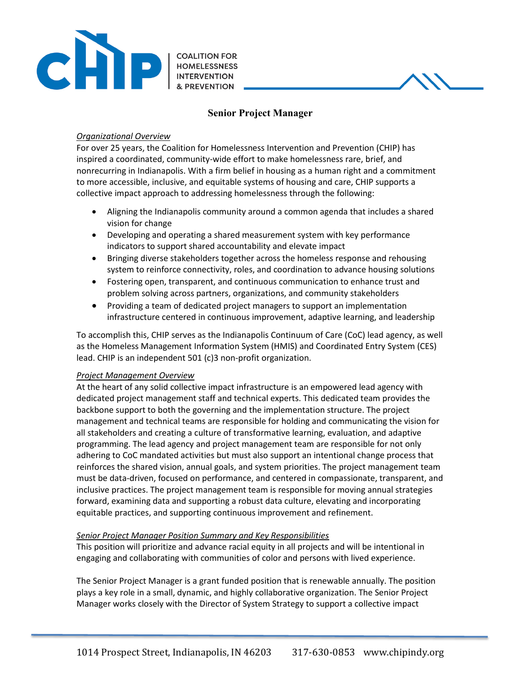

# **Senior Project Manager**

## *Organizational Overview*

For over 25 years, the Coalition for Homelessness Intervention and Prevention (CHIP) has inspired a coordinated, community-wide effort to make homelessness rare, brief, and nonrecurring in Indianapolis. With a firm belief in housing as a human right and a commitment to more accessible, inclusive, and equitable systems of housing and care, CHIP supports a collective impact approach to addressing homelessness through the following:

- Aligning the Indianapolis community around a common agenda that includes a shared vision for change
- Developing and operating a shared measurement system with key performance indicators to support shared accountability and elevate impact
- Bringing diverse stakeholders together across the homeless response and rehousing system to reinforce connectivity, roles, and coordination to advance housing solutions
- Fostering open, transparent, and continuous communication to enhance trust and problem solving across partners, organizations, and community stakeholders
- Providing a team of dedicated project managers to support an implementation infrastructure centered in continuous improvement, adaptive learning, and leadership

To accomplish this, CHIP serves as the Indianapolis Continuum of Care (CoC) lead agency, as well as the Homeless Management Information System (HMIS) and Coordinated Entry System (CES) lead. CHIP is an independent 501 (c)3 non-profit organization.

## *Project Management Overview*

At the heart of any solid collective impact infrastructure is an empowered lead agency with dedicated project management staff and technical experts. This dedicated team provides the backbone support to both the governing and the implementation structure. The project management and technical teams are responsible for holding and communicating the vision for all stakeholders and creating a culture of transformative learning, evaluation, and adaptive programming. The lead agency and project management team are responsible for not only adhering to CoC mandated activities but must also support an intentional change process that reinforces the shared vision, annual goals, and system priorities. The project management team must be data-driven, focused on performance, and centered in compassionate, transparent, and inclusive practices. The project management team is responsible for moving annual strategies forward, examining data and supporting a robust data culture, elevating and incorporating equitable practices, and supporting continuous improvement and refinement.

## *Senior Project Manager Position Summary and Key Responsibilities*

This position will prioritize and advance racial equity in all projects and will be intentional in engaging and collaborating with communities of color and persons with lived experience.

The Senior Project Manager is a grant funded position that is renewable annually. The position plays a key role in a small, dynamic, and highly collaborative organization. The Senior Project Manager works closely with the Director of System Strategy to support a collective impact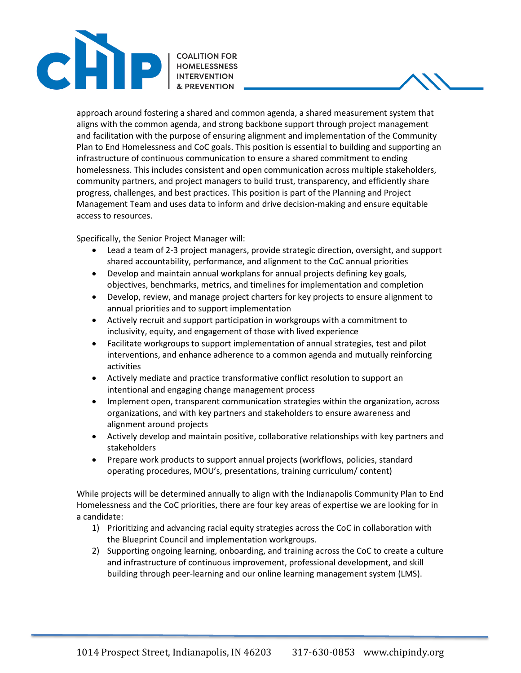

approach around fostering a shared and common agenda, a shared measurement system that aligns with the common agenda, and strong backbone support through project management and facilitation with the purpose of ensuring alignment and implementation of the Community Plan to End Homelessness and CoC goals. This position is essential to building and supporting an infrastructure of continuous communication to ensure a shared commitment to ending homelessness. This includes consistent and open communication across multiple stakeholders, community partners, and project managers to build trust, transparency, and efficiently share progress, challenges, and best practices. This position is part of the Planning and Project Management Team and uses data to inform and drive decision-making and ensure equitable access to resources.

Specifically, the Senior Project Manager will:

- Lead a team of 2-3 project managers, provide strategic direction, oversight, and support shared accountability, performance, and alignment to the CoC annual priorities
- Develop and maintain annual workplans for annual projects defining key goals, objectives, benchmarks, metrics, and timelines for implementation and completion
- Develop, review, and manage project charters for key projects to ensure alignment to annual priorities and to support implementation
- Actively recruit and support participation in workgroups with a commitment to inclusivity, equity, and engagement of those with lived experience
- Facilitate workgroups to support implementation of annual strategies, test and pilot interventions, and enhance adherence to a common agenda and mutually reinforcing activities
- Actively mediate and practice transformative conflict resolution to support an intentional and engaging change management process
- Implement open, transparent communication strategies within the organization, across organizations, and with key partners and stakeholders to ensure awareness and alignment around projects
- Actively develop and maintain positive, collaborative relationships with key partners and stakeholders
- Prepare work products to support annual projects (workflows, policies, standard operating procedures, MOU's, presentations, training curriculum/ content)

While projects will be determined annually to align with the Indianapolis Community Plan to End Homelessness and the CoC priorities, there are four key areas of expertise we are looking for in a candidate:

- 1) Prioritizing and advancing racial equity strategies across the CoC in collaboration with the Blueprint Council and implementation workgroups.
- 2) Supporting ongoing learning, onboarding, and training across the CoC to create a culture and infrastructure of continuous improvement, professional development, and skill building through peer-learning and our online learning management system (LMS).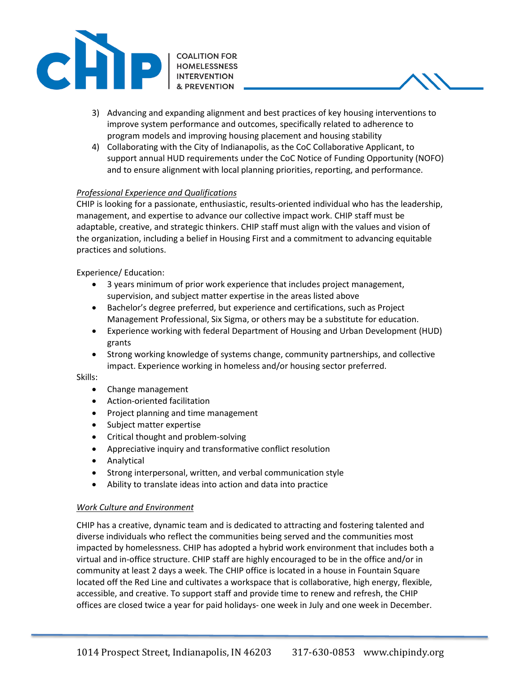

- 3) Advancing and expanding alignment and best practices of key housing interventions to improve system performance and outcomes, specifically related to adherence to program models and improving housing placement and housing stability
- 4) Collaborating with the City of Indianapolis, as the CoC Collaborative Applicant, to support annual HUD requirements under the CoC Notice of Funding Opportunity (NOFO) and to ensure alignment with local planning priorities, reporting, and performance.

# *Professional Experience and Qualifications*

CHIP is looking for a passionate, enthusiastic, results-oriented individual who has the leadership, management, and expertise to advance our collective impact work. CHIP staff must be adaptable, creative, and strategic thinkers. CHIP staff must align with the values and vision of the organization, including a belief in Housing First and a commitment to advancing equitable practices and solutions.

Experience/ Education:

- 3 years minimum of prior work experience that includes project management, supervision, and subject matter expertise in the areas listed above
- Bachelor's degree preferred, but experience and certifications, such as Project Management Professional, Six Sigma, or others may be a substitute for education.
- Experience working with federal Department of Housing and Urban Development (HUD) grants
- Strong working knowledge of systems change, community partnerships, and collective impact. Experience working in homeless and/or housing sector preferred.

#### Skills:

- Change management
- Action-oriented facilitation
- Project planning and time management
- Subject matter expertise
- Critical thought and problem-solving
- Appreciative inquiry and transformative conflict resolution
- Analytical
- Strong interpersonal, written, and verbal communication style
- Ability to translate ideas into action and data into practice

## *Work Culture and Environment*

CHIP has a creative, dynamic team and is dedicated to attracting and fostering talented and diverse individuals who reflect the communities being served and the communities most impacted by homelessness. CHIP has adopted a hybrid work environment that includes both a virtual and in-office structure. CHIP staff are highly encouraged to be in the office and/or in community at least 2 days a week. The CHIP office is located in a house in Fountain Square located off the Red Line and cultivates a workspace that is collaborative, high energy, flexible, accessible, and creative. To support staff and provide time to renew and refresh, the CHIP offices are closed twice a year for paid holidays- one week in July and one week in December.